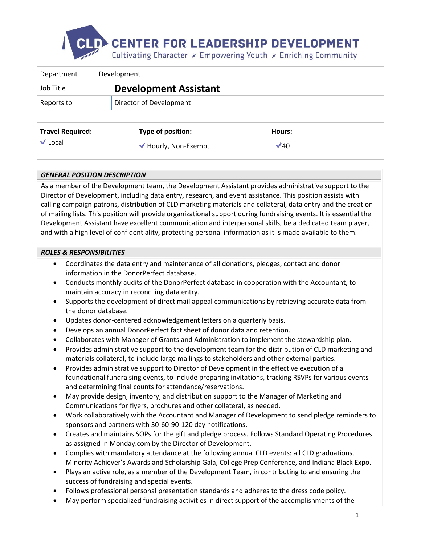

| Department | Development                  |  |
|------------|------------------------------|--|
| Job Title  | <b>Development Assistant</b> |  |
| Reports to | Director of Development      |  |

| <b>Travel Required:</b> | Type of position:  | <b>Hours:</b> |
|-------------------------|--------------------|---------------|
| $\vee$ Local            | Hourly, Non-Exempt | ✔40           |

# *GENERAL POSITION DESCRIPTION*

As a member of the Development team, the Development Assistant provides administrative support to the Director of Development, including data entry, research, and event assistance. This position assists with calling campaign patrons, distribution of CLD marketing materials and collateral, data entry and the creation of mailing lists. This position will provide organizational support during fundraising events. It is essential the Development Assistant have excellent communication and interpersonal skills, be a dedicated team player, and with a high level of confidentiality, protecting personal information as it is made available to them.

# *ROLES & RESPONSIBILITIES*

- Coordinates the data entry and maintenance of all donations, pledges, contact and donor information in the DonorPerfect database.
- Conducts monthly audits of the DonorPerfect database in cooperation with the Accountant, to maintain accuracy in reconciling data entry.
- Supports the development of direct mail appeal communications by retrieving accurate data from the donor database.
- Updates donor-centered acknowledgement letters on a quarterly basis.
- Develops an annual DonorPerfect fact sheet of donor data and retention.
- Collaborates with Manager of Grants and Administration to implement the stewardship plan.
- Provides administrative support to the development team for the distribution of CLD marketing and materials collateral, to include large mailings to stakeholders and other external parties.
- Provides administrative support to Director of Development in the effective execution of all foundational fundraising events, to include preparing invitations, tracking RSVPs for various events and determining final counts for attendance/reservations.
- May provide design, inventory, and distribution support to the Manager of Marketing and Communications for flyers, brochures and other collateral, as needed.
- Work collaboratively with the Accountant and Manager of Development to send pledge reminders to sponsors and partners with 30-60-90-120 day notifications.
- Creates and maintains SOPs for the gift and pledge process. Follows Standard Operating Procedures as assigned in Monday.com by the Director of Development.
- Complies with mandatory attendance at the following annual CLD events: all CLD graduations, Minority Achiever's Awards and Scholarship Gala, College Prep Conference, and Indiana Black Expo.
- Plays an active role, as a member of the Development Team, in contributing to and ensuring the success of fundraising and special events.
- Follows professional personal presentation standards and adheres to the dress code policy.
- May perform specialized fundraising activities in direct support of the accomplishments of the